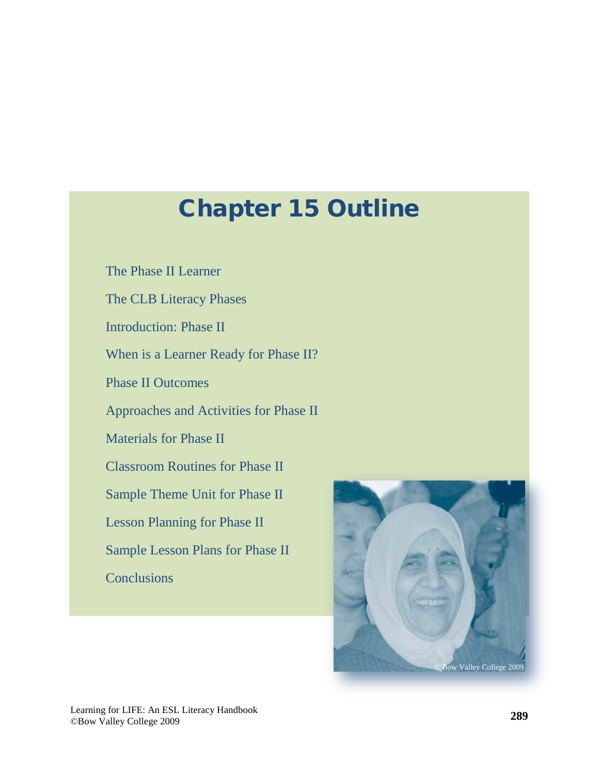# Chapter 15 Outline

[The Phase II Learner](#page-2-0) [The CLB Literacy Phases](#page-3-0) [Introduction: Phase II](#page-4-0) [When is a Learner Ready for Phase II?](#page-6-0) [Phase II Outcomes](#page-6-0) [Approaches and Activities for Phase II](#page-9-0) [Materials for Phase II](#page-12-0) [Classroom Routines for Phase II](#page-18-0) [Sample Theme Unit for Phase II](#page-19-0) [Lesson Planning for Phase II](#page-22-0) [Sample Lesson Plans for Phase II](#page-23-0) **[Conclusions](#page-26-0)** 

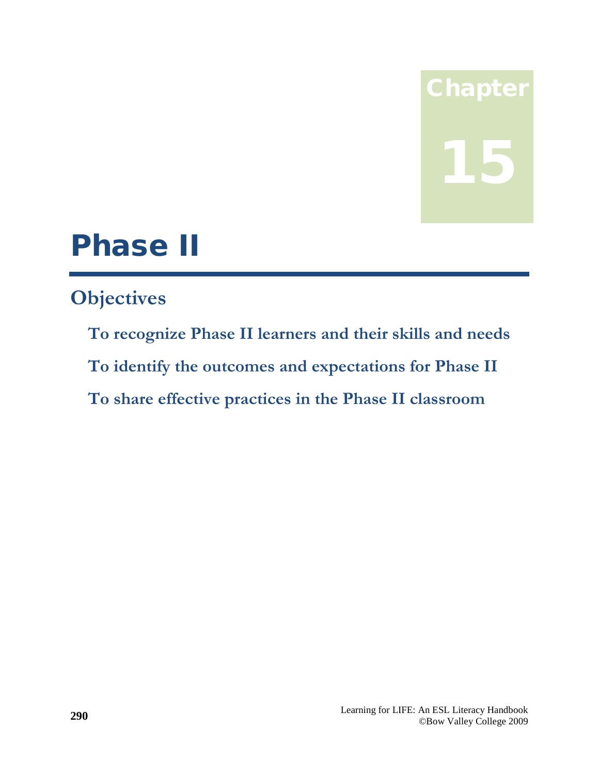# **Chapter** 15

# Phase II

# **Objectives**

**To recognize Phase II learners and their skills and needs To identify the outcomes and expectations for Phase II To share effective practices in the Phase II classroom**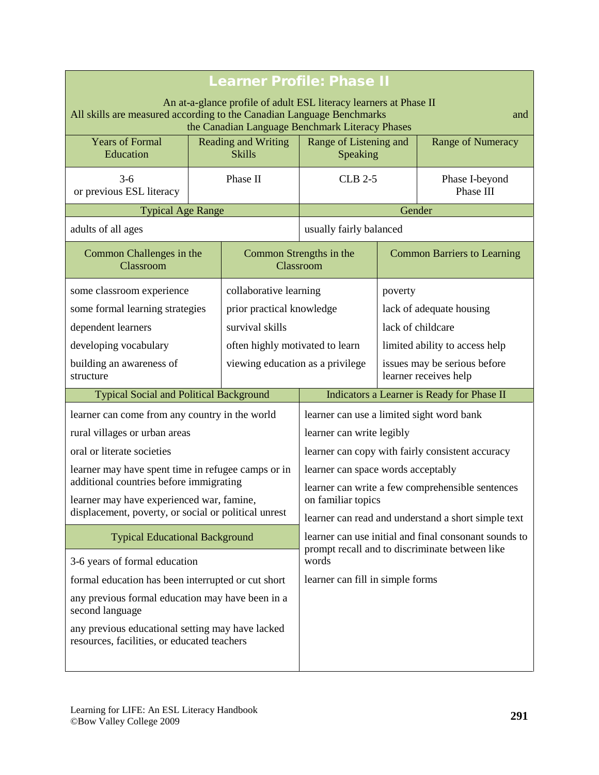<span id="page-2-0"></span>

| <b>Learner Profile: Phase II</b>                                                                                                                                                              |                                             |                                                  |                                                                                                              |                                                       |                                                |
|-----------------------------------------------------------------------------------------------------------------------------------------------------------------------------------------------|---------------------------------------------|--------------------------------------------------|--------------------------------------------------------------------------------------------------------------|-------------------------------------------------------|------------------------------------------------|
| An at-a-glance profile of adult ESL literacy learners at Phase II<br>All skills are measured according to the Canadian Language Benchmarks<br>the Canadian Language Benchmark Literacy Phases |                                             |                                                  |                                                                                                              | and                                                   |                                                |
| <b>Years of Formal</b><br>Education                                                                                                                                                           | <b>Reading and Writing</b><br><b>Skills</b> |                                                  | Range of Listening and<br>Speaking                                                                           |                                                       | <b>Range of Numeracy</b>                       |
| $3-6$<br>or previous ESL literacy                                                                                                                                                             | Phase II                                    |                                                  | <b>CLB 2-5</b>                                                                                               |                                                       | Phase I-beyond<br>Phase III                    |
| <b>Typical Age Range</b>                                                                                                                                                                      |                                             |                                                  | Gender                                                                                                       |                                                       |                                                |
| adults of all ages                                                                                                                                                                            |                                             |                                                  |                                                                                                              | usually fairly balanced                               |                                                |
| Common Challenges in the<br>Classroom                                                                                                                                                         |                                             |                                                  | Common Strengths in the<br>Classroom                                                                         |                                                       | <b>Common Barriers to Learning</b>             |
| some classroom experience                                                                                                                                                                     |                                             | collaborative learning                           |                                                                                                              | poverty                                               |                                                |
| some formal learning strategies                                                                                                                                                               |                                             | prior practical knowledge                        |                                                                                                              | lack of adequate housing                              |                                                |
| dependent learners                                                                                                                                                                            |                                             | survival skills                                  | lack of childcare                                                                                            |                                                       |                                                |
| developing vocabulary                                                                                                                                                                         |                                             | often highly motivated to learn                  |                                                                                                              | limited ability to access help                        |                                                |
| building an awareness of<br>structure                                                                                                                                                         |                                             | viewing education as a privilege                 |                                                                                                              | issues may be serious before<br>learner receives help |                                                |
| <b>Typical Social and Political Background</b>                                                                                                                                                |                                             |                                                  |                                                                                                              | Indicators a Learner is Ready for Phase II            |                                                |
| learner can come from any country in the world                                                                                                                                                |                                             | learner can use a limited sight word bank        |                                                                                                              |                                                       |                                                |
| rural villages or urban areas                                                                                                                                                                 |                                             |                                                  | learner can write legibly                                                                                    |                                                       |                                                |
| oral or literate societies                                                                                                                                                                    |                                             | learner can copy with fairly consistent accuracy |                                                                                                              |                                                       |                                                |
| learner may have spent time in refugee camps or in                                                                                                                                            |                                             |                                                  | learner can space words acceptably                                                                           |                                                       |                                                |
| additional countries before immigrating                                                                                                                                                       |                                             |                                                  | learner can write a few comprehensible sentences                                                             |                                                       |                                                |
| learner may have experienced war, famine,<br>displacement, poverty, or social or political unrest                                                                                             |                                             |                                                  | on familiar topics                                                                                           |                                                       |                                                |
|                                                                                                                                                                                               |                                             |                                                  | learner can read and understand a short simple text<br>learner can use initial and final consonant sounds to |                                                       |                                                |
| <b>Typical Educational Background</b>                                                                                                                                                         |                                             |                                                  |                                                                                                              |                                                       | prompt recall and to discriminate between like |
| 3-6 years of formal education                                                                                                                                                                 |                                             | words                                            |                                                                                                              |                                                       |                                                |
| formal education has been interrupted or cut short                                                                                                                                            |                                             | learner can fill in simple forms                 |                                                                                                              |                                                       |                                                |
| any previous formal education may have been in a<br>second language                                                                                                                           |                                             |                                                  |                                                                                                              |                                                       |                                                |
| any previous educational setting may have lacked<br>resources, facilities, or educated teachers                                                                                               |                                             |                                                  |                                                                                                              |                                                       |                                                |
|                                                                                                                                                                                               |                                             |                                                  |                                                                                                              |                                                       |                                                |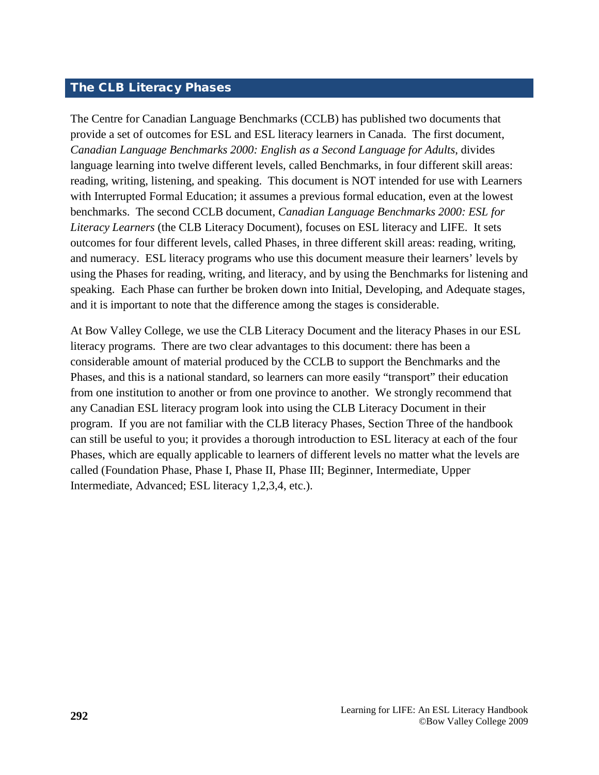# <span id="page-3-0"></span>The CLB Literacy Phases

The Centre for Canadian Language Benchmarks (CCLB) has published two documents that provide a set of outcomes for ESL and ESL literacy learners in Canada. The first document, *Canadian Language Benchmarks 2000: English as a Second Language for Adults*, divides language learning into twelve different levels, called Benchmarks, in four different skill areas: reading, writing, listening, and speaking. This document is NOT intended for use with Learners with Interrupted Formal Education; it assumes a previous formal education, even at the lowest benchmarks. The second CCLB document, *Canadian Language Benchmarks 2000: ESL for Literacy Learners* (the CLB Literacy Document)*,* focuses on ESL literacy and LIFE. It sets outcomes for four different levels, called Phases, in three different skill areas: reading, writing, and numeracy. ESL literacy programs who use this document measure their learners' levels by using the Phases for reading, writing, and literacy, and by using the Benchmarks for listening and speaking. Each Phase can further be broken down into Initial, Developing, and Adequate stages, and it is important to note that the difference among the stages is considerable.

At Bow Valley College, we use the CLB Literacy Document and the literacy Phases in our ESL literacy programs. There are two clear advantages to this document: there has been a considerable amount of material produced by the CCLB to support the Benchmarks and the Phases, and this is a national standard, so learners can more easily "transport" their education from one institution to another or from one province to another. We strongly recommend that any Canadian ESL literacy program look into using the CLB Literacy Document in their program. If you are not familiar with the CLB literacy Phases, Section Three of the handbook can still be useful to you; it provides a thorough introduction to ESL literacy at each of the four Phases, which are equally applicable to learners of different levels no matter what the levels are called (Foundation Phase, Phase I, Phase II, Phase III; Beginner, Intermediate, Upper Intermediate, Advanced; ESL literacy 1,2,3,4, etc.).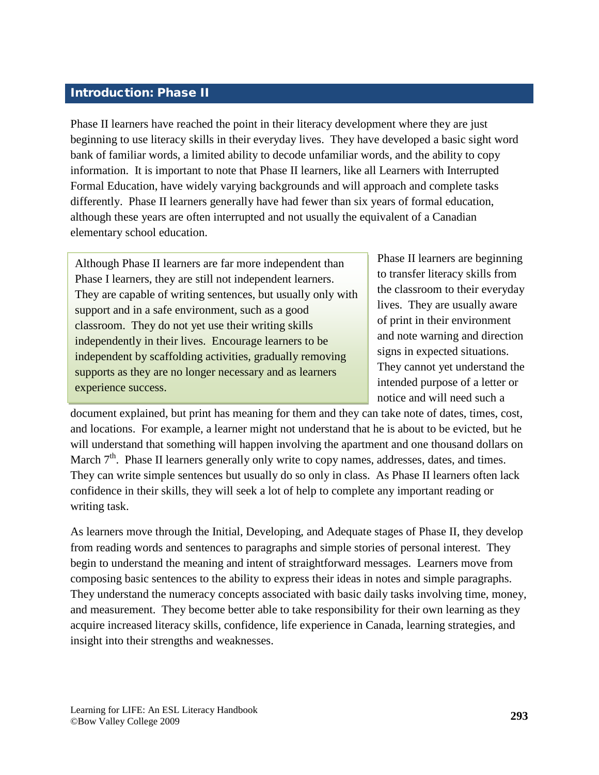# <span id="page-4-0"></span>Introduction: Phase II

Phase II learners have reached the point in their literacy development where they are just beginning to use literacy skills in their everyday lives. They have developed a basic sight word bank of familiar words, a limited ability to decode unfamiliar words, and the ability to copy information. It is important to note that Phase II learners, like all Learners with Interrupted Formal Education, have widely varying backgrounds and will approach and complete tasks differently. Phase II learners generally have had fewer than six years of formal education, although these years are often interrupted and not usually the equivalent of a Canadian elementary school education.

Although Phase II learners are far more independent than Phase I learners, they are still not independent learners. They are capable of writing sentences, but usually only with support and in a safe environment, such as a good classroom. They do not yet use their writing skills independently in their lives. Encourage learners to be independent by scaffolding activities, gradually removing supports as they are no longer necessary and as learners experience success.

Phase II learners are beginning to transfer literacy skills from the classroom to their everyday lives. They are usually aware of print in their environment and note warning and direction signs in expected situations. They cannot yet understand the intended purpose of a letter or notice and will need such a

document explained, but print has meaning for them and they can take note of dates, times, cost, and locations. For example, a learner might not understand that he is about to be evicted, but he will understand that something will happen involving the apartment and one thousand dollars on March  $7<sup>th</sup>$ . Phase II learners generally only write to copy names, addresses, dates, and times. They can write simple sentences but usually do so only in class. As Phase II learners often lack confidence in their skills, they will seek a lot of help to complete any important reading or writing task.

As learners move through the Initial, Developing, and Adequate stages of Phase II, they develop from reading words and sentences to paragraphs and simple stories of personal interest. They begin to understand the meaning and intent of straightforward messages. Learners move from composing basic sentences to the ability to express their ideas in notes and simple paragraphs. They understand the numeracy concepts associated with basic daily tasks involving time, money, and measurement. They become better able to take responsibility for their own learning as they acquire increased literacy skills, confidence, life experience in Canada, learning strategies, and insight into their strengths and weaknesses.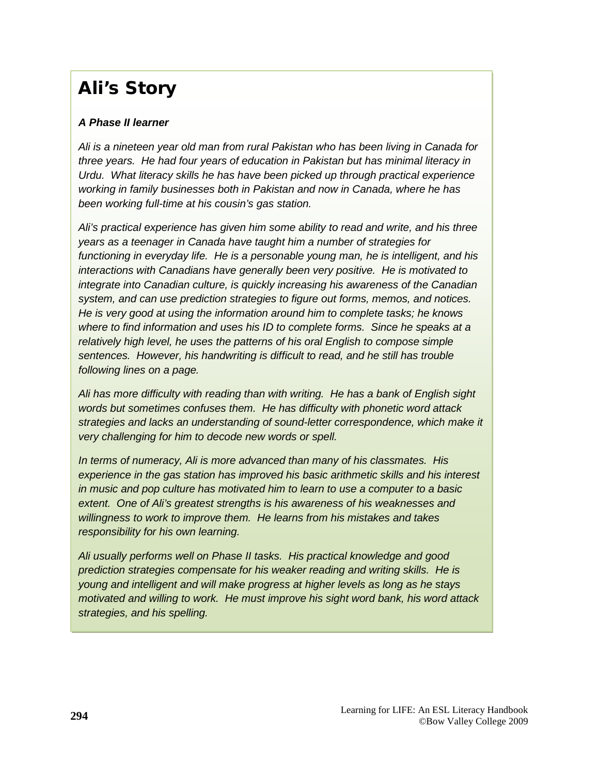# Ali's Story

# *A Phase II learner*

*Ali is a nineteen year old man from rural Pakistan who has been living in Canada for three years. He had four years of education in Pakistan but has minimal literacy in Urdu. What literacy skills he has have been picked up through practical experience working in family businesses both in Pakistan and now in Canada, where he has been working full-time at his cousin's gas station.* 

*Ali's practical experience has given him some ability to read and write, and his three years as a teenager in Canada have taught him a number of strategies for functioning in everyday life. He is a personable young man, he is intelligent, and his interactions with Canadians have generally been very positive. He is motivated to integrate into Canadian culture, is quickly increasing his awareness of the Canadian system, and can use prediction strategies to figure out forms, memos, and notices. He is very good at using the information around him to complete tasks; he knows where to find information and uses his ID to complete forms. Since he speaks at a relatively high level, he uses the patterns of his oral English to compose simple sentences. However, his handwriting is difficult to read, and he still has trouble following lines on a page.*

*Ali has more difficulty with reading than with writing. He has a bank of English sight words but sometimes confuses them. He has difficulty with phonetic word attack strategies and lacks an understanding of sound-letter correspondence, which make it very challenging for him to decode new words or spell.*

*In terms of numeracy, Ali is more advanced than many of his classmates. His experience in the gas station has improved his basic arithmetic skills and his interest in music and pop culture has motivated him to learn to use a computer to a basic extent. One of Ali's greatest strengths is his awareness of his weaknesses and willingness to work to improve them. He learns from his mistakes and takes responsibility for his own learning.*

*Ali usually performs well on Phase II tasks. His practical knowledge and good prediction strategies compensate for his weaker reading and writing skills. He is young and intelligent and will make progress at higher levels as long as he stays motivated and willing to work. He must improve his sight word bank, his word attack strategies, and his spelling.*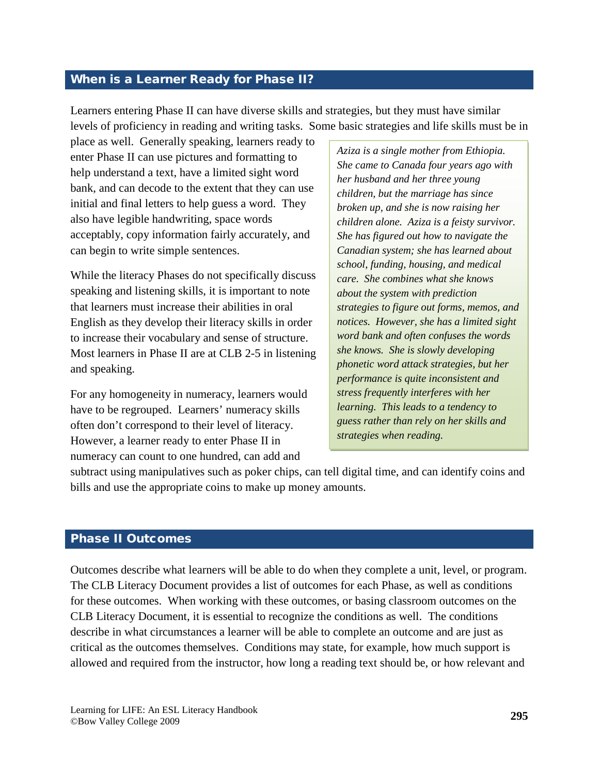#### <span id="page-6-0"></span>When is a Learner Ready for Phase II?

Learners entering Phase II can have diverse skills and strategies, but they must have similar levels of proficiency in reading and writing tasks. Some basic strategies and life skills must be in

place as well. Generally speaking, learners ready to enter Phase II can use pictures and formatting to help understand a text, have a limited sight word bank, and can decode to the extent that they can use initial and final letters to help guess a word. They also have legible handwriting, space words acceptably, copy information fairly accurately, and can begin to write simple sentences.

While the literacy Phases do not specifically discuss speaking and listening skills, it is important to note that learners must increase their abilities in oral English as they develop their literacy skills in order to increase their vocabulary and sense of structure. Most learners in Phase II are at CLB 2-5 in listening and speaking.

For any homogeneity in numeracy, learners would have to be regrouped. Learners' numeracy skills often don't correspond to their level of literacy. However, a learner ready to enter Phase II in numeracy can count to one hundred, can add and

*Aziza is a single mother from Ethiopia. She came to Canada four years ago with her husband and her three young children, but the marriage has since broken up, and she is now raising her children alone. Aziza is a feisty survivor. She has figured out how to navigate the Canadian system; she has learned about school, funding, housing, and medical care. She combines what she knows about the system with prediction strategies to figure out forms, memos, and notices. However, she has a limited sight word bank and often confuses the words she knows. She is slowly developing phonetic word attack strategies, but her performance is quite inconsistent and stress frequently interferes with her learning. This leads to a tendency to guess rather than rely on her skills and strategies when reading.*

subtract using manipulatives such as poker chips, can tell digital time, and can identify coins and bills and use the appropriate coins to make up money amounts.

#### Phase II Outcomes

Outcomes describe what learners will be able to do when they complete a unit, level, or program. The CLB Literacy Document provides a list of outcomes for each Phase, as well as conditions for these outcomes. When working with these outcomes, or basing classroom outcomes on the CLB Literacy Document, it is essential to recognize the conditions as well. The conditions describe in what circumstances a learner will be able to complete an outcome and are just as critical as the outcomes themselves. Conditions may state, for example, how much support is allowed and required from the instructor, how long a reading text should be, or how relevant and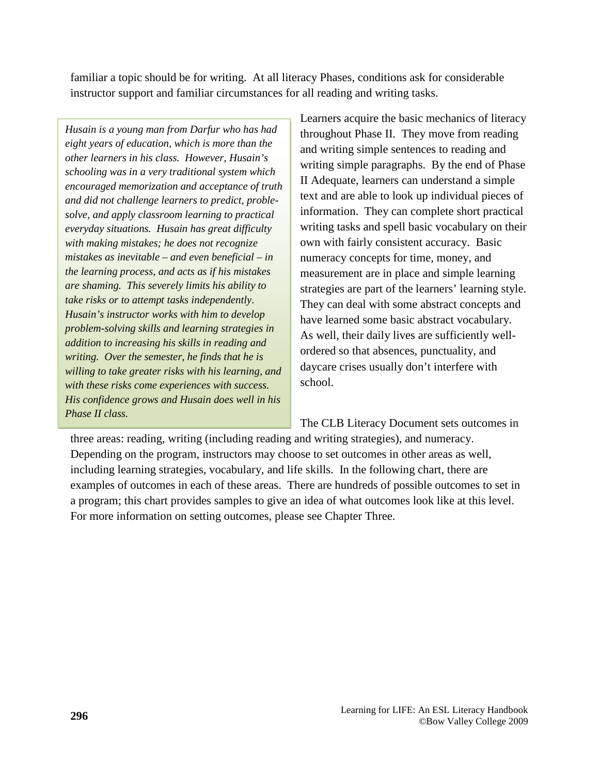familiar a topic should be for writing. At all literacy Phases, conditions ask for considerable instructor support and familiar circumstances for all reading and writing tasks.

*Husain is a young man from Darfur who has had eight years of education, which is more than the other learners in his class. However, Husain's schooling was in a very traditional system which encouraged memorization and acceptance of truth and did not challenge learners to predict, problesolve, and apply classroom learning to practical everyday situations. Husain has great difficulty with making mistakes; he does not recognize mistakes as inevitable – and even beneficial – in the learning process, and acts as if his mistakes are shaming. This severely limits his ability to take risks or to attempt tasks independently. Husain's instructor works with him to develop problem-solving skills and learning strategies in addition to increasing his skills in reading and writing. Over the semester, he finds that he is willing to take greater risks with his learning, and with these risks come experiences with success. His confidence grows and Husain does well in his Phase II class.*

Learners acquire the basic mechanics of literacy throughout Phase II. They move from reading and writing simple sentences to reading and writing simple paragraphs. By the end of Phase II Adequate, learners can understand a simple text and are able to look up individual pieces of information. They can complete short practical writing tasks and spell basic vocabulary on their own with fairly consistent accuracy. Basic numeracy concepts for time, money, and measurement are in place and simple learning strategies are part of the learners' learning style. They can deal with some abstract concepts and have learned some basic abstract vocabulary. As well, their daily lives are sufficiently wellordered so that absences, punctuality, and daycare crises usually don't interfere with school.

The CLB Literacy Document sets outcomes in

three areas: reading, writing (including reading and writing strategies), and numeracy. Depending on the program, instructors may choose to set outcomes in other areas as well, including learning strategies, vocabulary, and life skills. In the following chart, there are examples of outcomes in each of these areas. There are hundreds of possible outcomes to set in a program; this chart provides samples to give an idea of what outcomes look like at this level. For more information on setting outcomes, please see Chapter Three.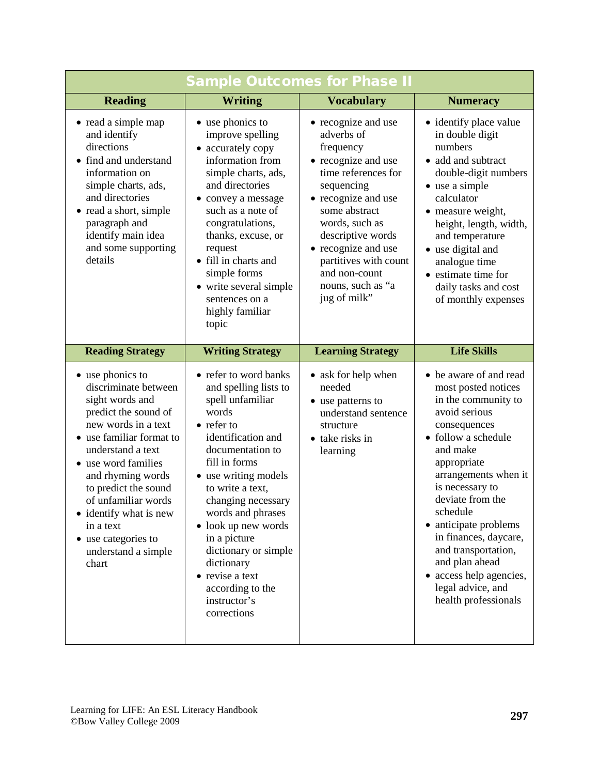| <b>Sample Outcomes for Phase II</b>                                                                                                                                                                                                                                                                                                                |                                                                                                                                                                                                                                                                                                                                                                                                |                                                                                                                                                                                                                                                                                                 |                                                                                                                                                                                                                                                                                                                                                                                                       |
|----------------------------------------------------------------------------------------------------------------------------------------------------------------------------------------------------------------------------------------------------------------------------------------------------------------------------------------------------|------------------------------------------------------------------------------------------------------------------------------------------------------------------------------------------------------------------------------------------------------------------------------------------------------------------------------------------------------------------------------------------------|-------------------------------------------------------------------------------------------------------------------------------------------------------------------------------------------------------------------------------------------------------------------------------------------------|-------------------------------------------------------------------------------------------------------------------------------------------------------------------------------------------------------------------------------------------------------------------------------------------------------------------------------------------------------------------------------------------------------|
| <b>Reading</b>                                                                                                                                                                                                                                                                                                                                     | <b>Writing</b>                                                                                                                                                                                                                                                                                                                                                                                 | <b>Vocabulary</b>                                                                                                                                                                                                                                                                               | <b>Numeracy</b>                                                                                                                                                                                                                                                                                                                                                                                       |
| • read a simple map<br>and identify<br>directions<br>• find and understand<br>information on<br>simple charts, ads,<br>and directories<br>• read a short, simple<br>paragraph and<br>identify main idea<br>and some supporting<br>details                                                                                                          | • use phonics to<br>improve spelling<br>• accurately copy<br>information from<br>simple charts, ads,<br>and directories<br>• convey a message<br>such as a note of<br>congratulations,<br>thanks, excuse, or<br>request<br>• fill in charts and<br>simple forms<br>• write several simple<br>sentences on a<br>highly familiar<br>topic                                                        | • recognize and use<br>adverbs of<br>frequency<br>• recognize and use<br>time references for<br>sequencing<br>• recognize and use<br>some abstract<br>words, such as<br>descriptive words<br>• recognize and use<br>partitives with count<br>and non-count<br>nouns, such as "a<br>jug of milk" | • identify place value<br>in double digit<br>numbers<br>• add and subtract<br>double-digit numbers<br>• use a simple<br>calculator<br>• measure weight,<br>height, length, width,<br>and temperature<br>• use digital and<br>analogue time<br>• estimate time for<br>daily tasks and cost<br>of monthly expenses                                                                                      |
| <b>Reading Strategy</b>                                                                                                                                                                                                                                                                                                                            | <b>Writing Strategy</b>                                                                                                                                                                                                                                                                                                                                                                        | <b>Learning Strategy</b>                                                                                                                                                                                                                                                                        | <b>Life Skills</b>                                                                                                                                                                                                                                                                                                                                                                                    |
| • use phonics to<br>discriminate between<br>sight words and<br>predict the sound of<br>new words in a text<br>• use familiar format to<br>understand a text<br>• use word families<br>and rhyming words<br>to predict the sound<br>of unfamiliar words<br>• identify what is new<br>in a text<br>use categories to<br>understand a simple<br>chart | • refer to word banks<br>and spelling lists to<br>spell unfamiliar<br>words<br>• refer to<br>identification and<br>documentation to<br>fill in forms<br>• use writing models<br>to write a text,<br>changing necessary<br>words and phrases<br>• look up new words<br>in a picture<br>dictionary or simple<br>dictionary<br>• revise a text<br>according to the<br>instructor's<br>corrections | • ask for help when<br>needed<br>• use patterns to<br>understand sentence<br>structure<br>• take risks in<br>learning                                                                                                                                                                           | • be aware of and read<br>most posted notices<br>in the community to<br>avoid serious<br>consequences<br>• follow a schedule<br>and make<br>appropriate<br>arrangements when it<br>is necessary to<br>deviate from the<br>schedule<br>• anticipate problems<br>in finances, daycare,<br>and transportation,<br>and plan ahead<br>• access help agencies,<br>legal advice, and<br>health professionals |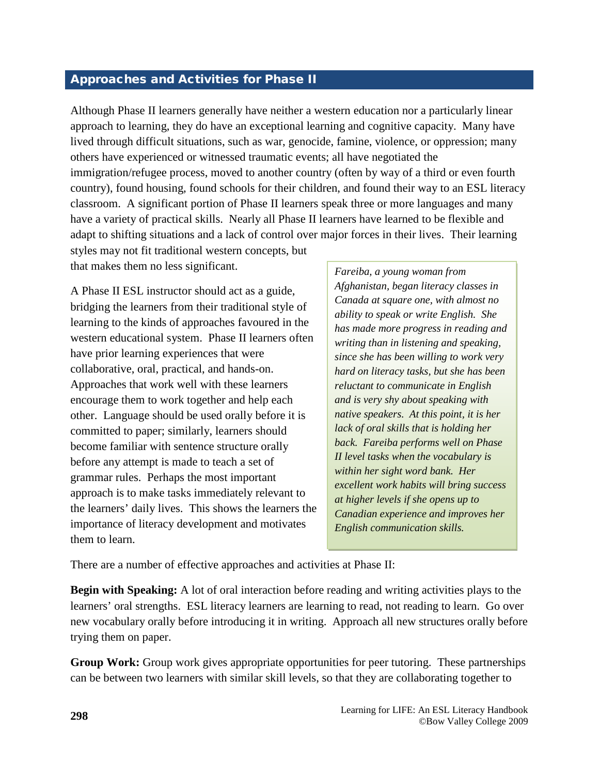## <span id="page-9-0"></span>Approaches and Activities for Phase II

Although Phase II learners generally have neither a western education nor a particularly linear approach to learning, they do have an exceptional learning and cognitive capacity. Many have lived through difficult situations, such as war, genocide, famine, violence, or oppression; many others have experienced or witnessed traumatic events; all have negotiated the immigration/refugee process, moved to another country (often by way of a third or even fourth country), found housing, found schools for their children, and found their way to an ESL literacy classroom. A significant portion of Phase II learners speak three or more languages and many have a variety of practical skills. Nearly all Phase II learners have learned to be flexible and adapt to shifting situations and a lack of control over major forces in their lives. Their learning styles may not fit traditional western concepts, but

that makes them no less significant.

A Phase II ESL instructor should act as a guide, bridging the learners from their traditional style of learning to the kinds of approaches favoured in the western educational system. Phase II learners often have prior learning experiences that were collaborative, oral, practical, and hands-on. Approaches that work well with these learners encourage them to work together and help each other. Language should be used orally before it is committed to paper; similarly, learners should become familiar with sentence structure orally before any attempt is made to teach a set of grammar rules. Perhaps the most important approach is to make tasks immediately relevant to the learners' daily lives. This shows the learners the importance of literacy development and motivates them to learn.

*Fareiba, a young woman from Afghanistan, began literacy classes in Canada at square one, with almost no ability to speak or write English. She has made more progress in reading and writing than in listening and speaking, since she has been willing to work very hard on literacy tasks, but she has been reluctant to communicate in English and is very shy about speaking with native speakers. At this point, it is her lack of oral skills that is holding her back. Fareiba performs well on Phase II level tasks when the vocabulary is within her sight word bank. Her excellent work habits will bring success at higher levels if she opens up to Canadian experience and improves her English communication skills.*

There are a number of effective approaches and activities at Phase II:

**Begin with Speaking:** A lot of oral interaction before reading and writing activities plays to the learners' oral strengths. ESL literacy learners are learning to read, not reading to learn. Go over new vocabulary orally before introducing it in writing. Approach all new structures orally before trying them on paper.

**Group Work:** Group work gives appropriate opportunities for peer tutoring. These partnerships can be between two learners with similar skill levels, so that they are collaborating together to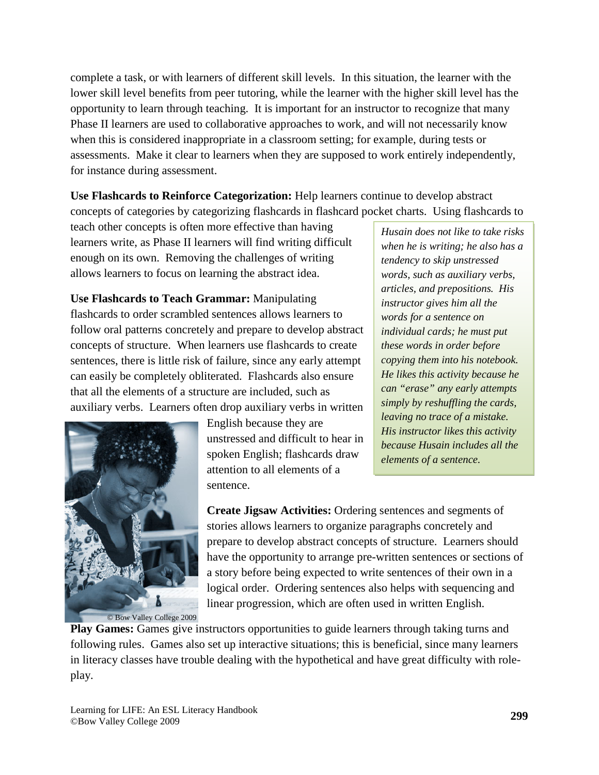complete a task, or with learners of different skill levels. In this situation, the learner with the lower skill level benefits from peer tutoring, while the learner with the higher skill level has the opportunity to learn through teaching. It is important for an instructor to recognize that many Phase II learners are used to collaborative approaches to work, and will not necessarily know when this is considered inappropriate in a classroom setting; for example, during tests or assessments. Make it clear to learners when they are supposed to work entirely independently, for instance during assessment.

**Use Flashcards to Reinforce Categorization:** Help learners continue to develop abstract concepts of categories by categorizing flashcards in flashcard pocket charts. Using flashcards to

teach other concepts is often more effective than having learners write, as Phase II learners will find writing difficult enough on its own. Removing the challenges of writing allows learners to focus on learning the abstract idea.

**Use Flashcards to Teach Grammar:** Manipulating flashcards to order scrambled sentences allows learners to follow oral patterns concretely and prepare to develop abstract concepts of structure. When learners use flashcards to create sentences, there is little risk of failure, since any early attempt can easily be completely obliterated. Flashcards also ensure that all the elements of a structure are included, such as auxiliary verbs. Learners often drop auxiliary verbs in written



English because they are unstressed and difficult to hear in spoken English; flashcards draw attention to all elements of a sentence.

*Husain does not like to take risks when he is writing; he also has a tendency to skip unstressed words, such as auxiliary verbs, articles, and prepositions. His instructor gives him all the words for a sentence on individual cards; he must put these words in order before copying them into his notebook. He likes this activity because he can "erase" any early attempts simply by reshuffling the cards, leaving no trace of a mistake. His instructor likes this activity because Husain includes all the elements of a sentence.*

**Create Jigsaw Activities:** Ordering sentences and segments of stories allows learners to organize paragraphs concretely and prepare to develop abstract concepts of structure. Learners should have the opportunity to arrange pre-written sentences or sections of a story before being expected to write sentences of their own in a logical order. Ordering sentences also helps with sequencing and linear progression, which are often used in written English.

**Play Games:** Games give instructors opportunities to guide learners through taking turns and following rules. Games also set up interactive situations; this is beneficial, since many learners in literacy classes have trouble dealing with the hypothetical and have great difficulty with roleplay.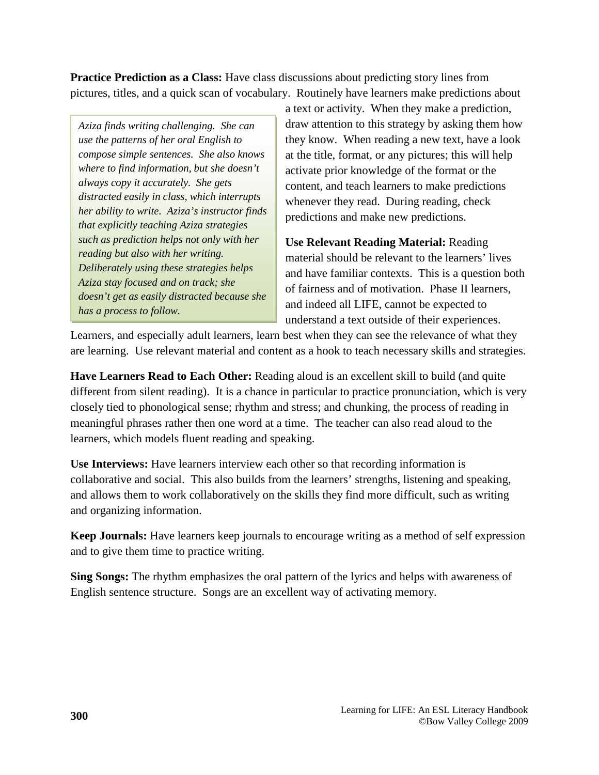**Practice Prediction as a Class:** Have class discussions about predicting story lines from pictures, titles, and a quick scan of vocabulary. Routinely have learners make predictions about

*Aziza finds writing challenging. She can use the patterns of her oral English to compose simple sentences. She also knows where to find information, but she doesn't always copy it accurately. She gets distracted easily in class, which interrupts her ability to write. Aziza's instructor finds that explicitly teaching Aziza strategies such as prediction helps not only with her reading but also with her writing. Deliberately using these strategies helps Aziza stay focused and on track; she doesn't get as easily distracted because she has a process to follow.*

a text or activity. When they make a prediction, draw attention to this strategy by asking them how they know. When reading a new text, have a look at the title, format, or any pictures; this will help activate prior knowledge of the format or the content, and teach learners to make predictions whenever they read. During reading, check predictions and make new predictions.

**Use Relevant Reading Material:** Reading material should be relevant to the learners' lives and have familiar contexts. This is a question both of fairness and of motivation. Phase II learners, and indeed all LIFE, cannot be expected to understand a text outside of their experiences.

Learners, and especially adult learners, learn best when they can see the relevance of what they are learning. Use relevant material and content as a hook to teach necessary skills and strategies.

**Have Learners Read to Each Other:** Reading aloud is an excellent skill to build (and quite different from silent reading). It is a chance in particular to practice pronunciation, which is very closely tied to phonological sense; rhythm and stress; and chunking, the process of reading in meaningful phrases rather then one word at a time. The teacher can also read aloud to the learners, which models fluent reading and speaking.

**Use Interviews:** Have learners interview each other so that recording information is collaborative and social. This also builds from the learners' strengths, listening and speaking, and allows them to work collaboratively on the skills they find more difficult, such as writing and organizing information.

**Keep Journals:** Have learners keep journals to encourage writing as a method of self expression and to give them time to practice writing.

**Sing Songs:** The rhythm emphasizes the oral pattern of the lyrics and helps with awareness of English sentence structure. Songs are an excellent way of activating memory.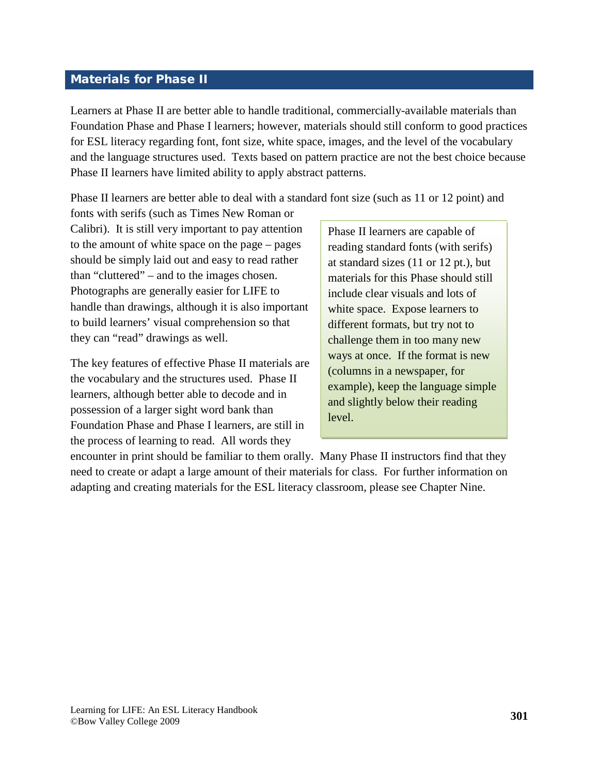## <span id="page-12-0"></span>Materials for Phase II

Learners at Phase II are better able to handle traditional, commercially-available materials than Foundation Phase and Phase I learners; however, materials should still conform to good practices for ESL literacy regarding font, font size, white space, images, and the level of the vocabulary and the language structures used. Texts based on pattern practice are not the best choice because Phase II learners have limited ability to apply abstract patterns.

Phase II learners are better able to deal with a standard font size (such as 11 or 12 point) and

fonts with serifs (such as Times New Roman or Calibri). It is still very important to pay attention to the amount of white space on the page – pages should be simply laid out and easy to read rather than "cluttered" – and to the images chosen. Photographs are generally easier for LIFE to handle than drawings, although it is also important to build learners' visual comprehension so that they can "read" drawings as well.

The key features of effective Phase II materials are the vocabulary and the structures used. Phase II learners, although better able to decode and in possession of a larger sight word bank than Foundation Phase and Phase I learners, are still in the process of learning to read. All words they

Phase II learners are capable of reading standard fonts (with serifs) at standard sizes (11 or 12 pt.), but materials for this Phase should still include clear visuals and lots of white space. Expose learners to different formats, but try not to challenge them in too many new ways at once. If the format is new (columns in a newspaper, for example), keep the language simple and slightly below their reading level.

encounter in print should be familiar to them orally. Many Phase II instructors find that they need to create or adapt a large amount of their materials for class. For further information on adapting and creating materials for the ESL literacy classroom, please see Chapter Nine.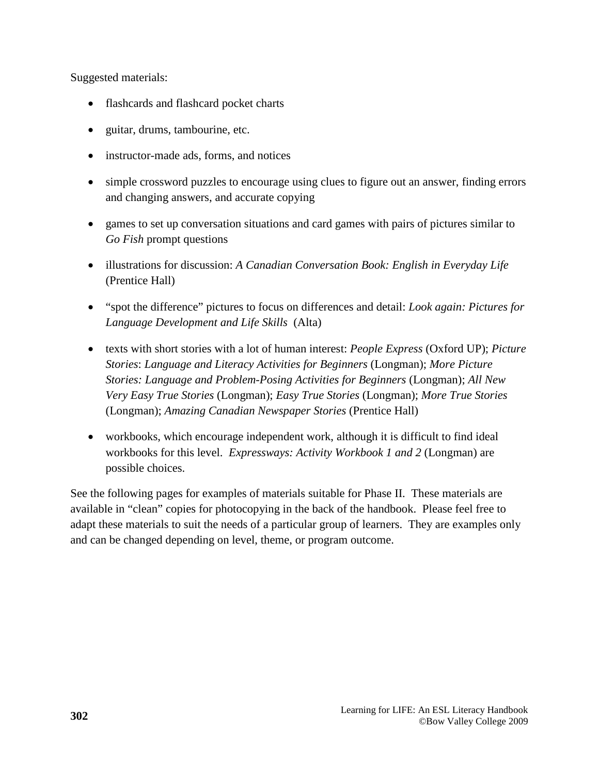Suggested materials:

- flashcards and flashcard pocket charts
- guitar, drums, tambourine, etc.
- instructor-made ads, forms, and notices
- simple crossword puzzles to encourage using clues to figure out an answer, finding errors and changing answers, and accurate copying
- games to set up conversation situations and card games with pairs of pictures similar to *Go Fish* prompt questions
- illustrations for discussion: *A Canadian Conversation Book: English in Everyday Life* (Prentice Hall)
- "spot the difference" pictures to focus on differences and detail: *Look again: Pictures for Language Development and Life Skills* (Alta)
- texts with short stories with a lot of human interest: *People Express* (Oxford UP); *Picture Stories*: *Language and Literacy Activities for Beginners* (Longman); *More Picture Stories: Language and Problem-Posing Activities for Beginners* (Longman); *All New Very Easy True Stories* (Longman); *Easy True Stories* (Longman); *More True Stories* (Longman); *Amazing Canadian Newspaper Stories* (Prentice Hall)
- workbooks, which encourage independent work, although it is difficult to find ideal workbooks for this level. *Expressways: Activity Workbook 1 and 2* (Longman) are possible choices.

See the following pages for examples of materials suitable for Phase II. These materials are available in "clean" copies for photocopying in the back of the handbook. Please feel free to adapt these materials to suit the needs of a particular group of learners. They are examples only and can be changed depending on level, theme, or program outcome.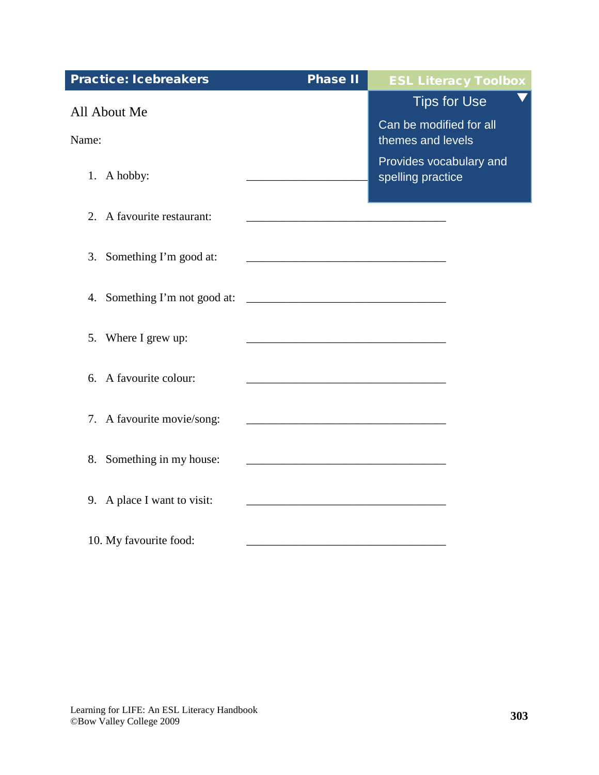| <b>Practice: Icebreakers</b>  | <b>Phase II</b>                                               | <b>ESL Literacy Toolbox</b>                  |
|-------------------------------|---------------------------------------------------------------|----------------------------------------------|
| All About Me                  |                                                               | <b>Tips for Use</b>                          |
| Name:                         |                                                               | Can be modified for all<br>themes and levels |
| 1. A hobby:                   |                                                               | Provides vocabulary and<br>spelling practice |
| 2. A favourite restaurant:    |                                                               |                                              |
| 3. Something I'm good at:     |                                                               |                                              |
| 4. Something I'm not good at: |                                                               |                                              |
| 5. Where I grew up:           | <u> 1989 - Johann Barbara, martxa al III-lea (h. 1989).</u>   |                                              |
| 6. A favourite colour:        |                                                               |                                              |
| 7. A favourite movie/song:    | <u> 1989 - Jan James James Barbara, politik eta idazlea (</u> |                                              |
| 8. Something in my house:     |                                                               |                                              |
| 9. A place I want to visit:   |                                                               |                                              |
| 10. My favourite food:        |                                                               |                                              |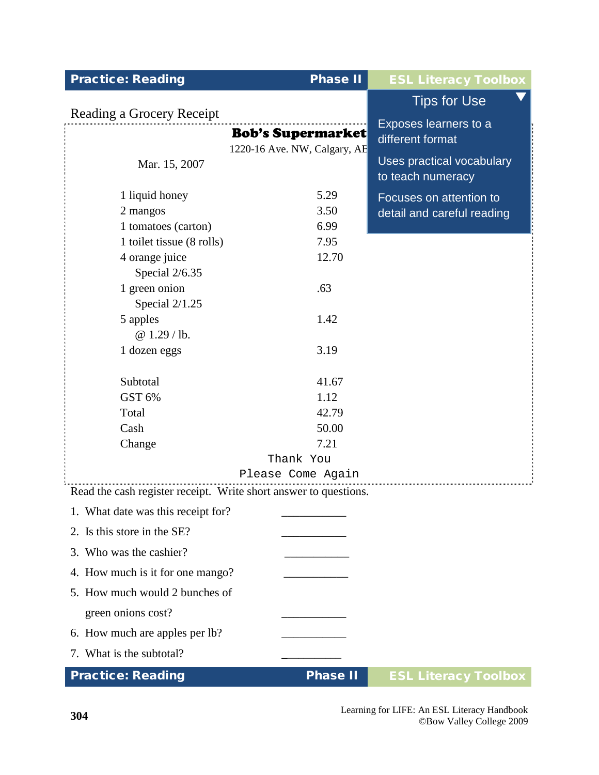| <b>Practice: Reading</b>                                         | <b>Phase II</b>              | <b>ESL Literacy Toolbox</b> |
|------------------------------------------------------------------|------------------------------|-----------------------------|
|                                                                  |                              | <b>Tips for Use</b>         |
| Reading a Grocery Receipt                                        |                              | Exposes learners to a       |
|                                                                  | <b>Bob's Supermarket</b>     | different format            |
|                                                                  | 1220-16 Ave. NW, Calgary, AB | Uses practical vocabulary   |
| Mar. 15, 2007                                                    |                              | to teach numeracy           |
| 1 liquid honey                                                   | 5.29                         | Focuses on attention to     |
| 2 mangos                                                         | 3.50                         | detail and careful reading  |
| 1 tomatoes (carton)                                              | 6.99                         |                             |
| 1 toilet tissue (8 rolls)                                        | 7.95                         |                             |
| 4 orange juice                                                   | 12.70                        |                             |
| Special 2/6.35                                                   |                              |                             |
| 1 green onion                                                    | .63                          |                             |
| Special 2/1.25                                                   |                              |                             |
| 5 apples                                                         | 1.42                         |                             |
| @1.29/lb.                                                        |                              |                             |
| 1 dozen eggs                                                     | 3.19                         |                             |
|                                                                  |                              |                             |
| Subtotal                                                         | 41.67                        |                             |
| GST 6%                                                           | 1.12                         |                             |
| Total                                                            | 42.79                        |                             |
| Cash                                                             | 50.00                        |                             |
| Change                                                           | 7.21                         |                             |
|                                                                  | Thank You                    |                             |
|                                                                  | Please Come Again            |                             |
| Read the cash register receipt. Write short answer to questions. |                              |                             |
| 1. What date was this receipt for?                               |                              |                             |
| 2. Is this store in the SE?                                      |                              |                             |
| 3. Who was the cashier?                                          |                              |                             |
| 4. How much is it for one mango?                                 |                              |                             |
| 5. How much would 2 bunches of                                   |                              |                             |
| green onions cost?                                               |                              |                             |
| 6. How much are apples per lb?                                   |                              |                             |
| 7. What is the subtotal?                                         |                              |                             |
| <b>Practice: Reading</b>                                         | <b>Phase II</b>              | <b>ESL Literacy Toolbox</b> |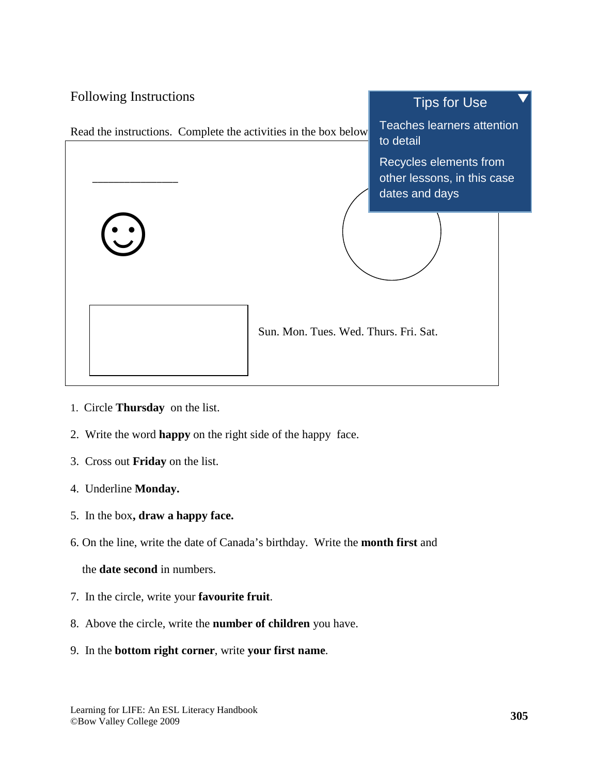

- 1. Circle **Thursday** on the list.
- 2. Write the word **happy** on the right side of the happy face.
- 3. Cross out **Friday** on the list.
- 4. Underline **Monday.**
- 5. In the box**, draw a happy face.**
- 6. On the line, write the date of Canada's birthday. Write the **month first** and

the **date second** in numbers.

- 7. In the circle, write your **favourite fruit**.
- 8. Above the circle, write the **number of children** you have.
- 9. In the **bottom right corner**, write **your first name**.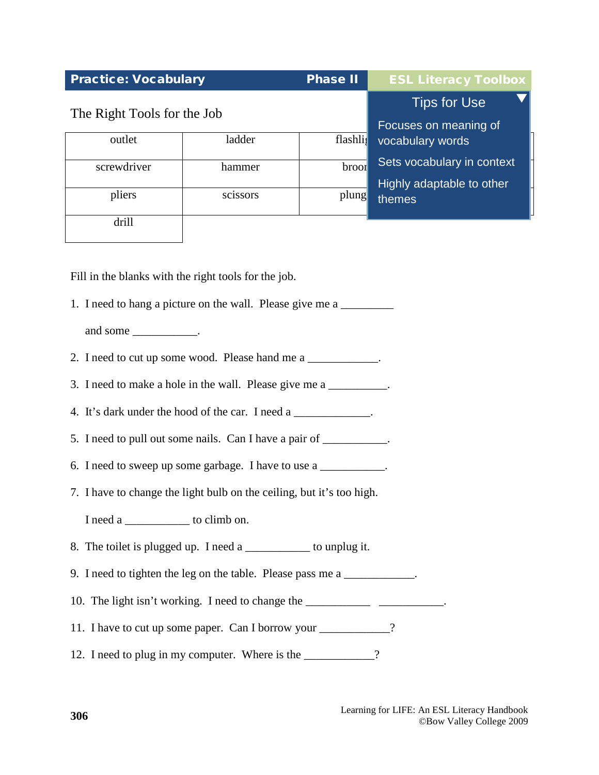| <b>Practice: Vocabulary</b> |          | <b>Phase II</b> | <b>ESL Literacy Toolbox</b>                             |
|-----------------------------|----------|-----------------|---------------------------------------------------------|
| The Right Tools for the Job |          |                 | <b>Tips for Use</b><br>Focuses on meaning of            |
| outlet                      | ladder   | flashlig        | vocabulary words                                        |
| screwdriver                 | hammer   | <b>broor</b>    | Sets vocabulary in context<br>Highly adaptable to other |
| pliers                      | scissors | plung           | themes                                                  |
| drill                       |          |                 |                                                         |

Fill in the blanks with the right tools for the job.

1. I need to hang a picture on the wall. Please give me a

and some \_\_\_\_\_\_\_\_\_\_\_\_.

- 2. I need to cut up some wood. Please hand me a
- 3. I need to make a hole in the wall. Please give me a \_\_\_\_\_\_\_\_\_\_.
- 4. It's dark under the hood of the car. I need a \_\_\_\_\_\_\_\_\_\_\_\_\_.
- 5. I need to pull out some nails. Can I have a pair of \_\_\_\_\_\_\_\_\_\_.
- 6. I need to sweep up some garbage. I have to use a \_\_\_\_\_\_\_\_\_\_\_.
- 7. I have to change the light bulb on the ceiling, but it's too high.

I need a \_\_\_\_\_\_\_\_\_\_\_ to climb on.

- 8. The toilet is plugged up. I need a \_\_\_\_\_\_\_\_\_\_\_ to unplug it.
- 9. I need to tighten the leg on the table. Please pass me a \_\_\_\_\_\_\_\_\_\_\_.
- 10. The light isn't working. I need to change the \_\_\_\_\_\_\_\_\_\_\_\_\_\_\_\_\_\_\_\_\_\_\_\_\_\_\_\_\_\_\_
- 11. I have to cut up some paper. Can I borrow your \_\_\_\_\_\_\_\_\_\_?
- 12. I need to plug in my computer. Where is the \_\_\_\_\_\_\_\_\_\_?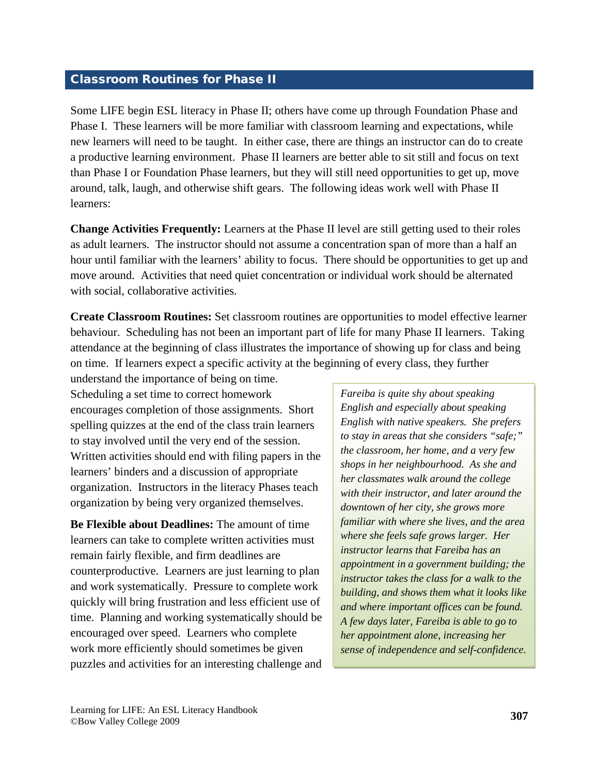## <span id="page-18-0"></span>Classroom Routines for Phase II

Some LIFE begin ESL literacy in Phase II; others have come up through Foundation Phase and Phase I. These learners will be more familiar with classroom learning and expectations, while new learners will need to be taught. In either case, there are things an instructor can do to create a productive learning environment. Phase II learners are better able to sit still and focus on text than Phase I or Foundation Phase learners, but they will still need opportunities to get up, move around, talk, laugh, and otherwise shift gears. The following ideas work well with Phase II learners:

**Change Activities Frequently:** Learners at the Phase II level are still getting used to their roles as adult learners. The instructor should not assume a concentration span of more than a half an hour until familiar with the learners' ability to focus. There should be opportunities to get up and move around. Activities that need quiet concentration or individual work should be alternated with social, collaborative activities.

**Create Classroom Routines:** Set classroom routines are opportunities to model effective learner behaviour. Scheduling has not been an important part of life for many Phase II learners. Taking attendance at the beginning of class illustrates the importance of showing up for class and being on time. If learners expect a specific activity at the beginning of every class, they further

understand the importance of being on time. Scheduling a set time to correct homework encourages completion of those assignments. Short spelling quizzes at the end of the class train learners to stay involved until the very end of the session. Written activities should end with filing papers in the learners' binders and a discussion of appropriate organization. Instructors in the literacy Phases teach organization by being very organized themselves.

**Be Flexible about Deadlines:** The amount of time learners can take to complete written activities must remain fairly flexible, and firm deadlines are counterproductive. Learners are just learning to plan and work systematically. Pressure to complete work quickly will bring frustration and less efficient use of time. Planning and working systematically should be encouraged over speed. Learners who complete work more efficiently should sometimes be given puzzles and activities for an interesting challenge and

*Fareiba is quite shy about speaking English and especially about speaking English with native speakers. She prefers to stay in areas that she considers "safe;" the classroom, her home, and a very few shops in her neighbourhood. As she and her classmates walk around the college with their instructor, and later around the downtown of her city, she grows more familiar with where she lives, and the area where she feels safe grows larger. Her instructor learns that Fareiba has an appointment in a government building; the instructor takes the class for a walk to the building, and shows them what it looks like and where important offices can be found. A few days later, Fareiba is able to go to her appointment alone, increasing her sense of independence and self-confidence.*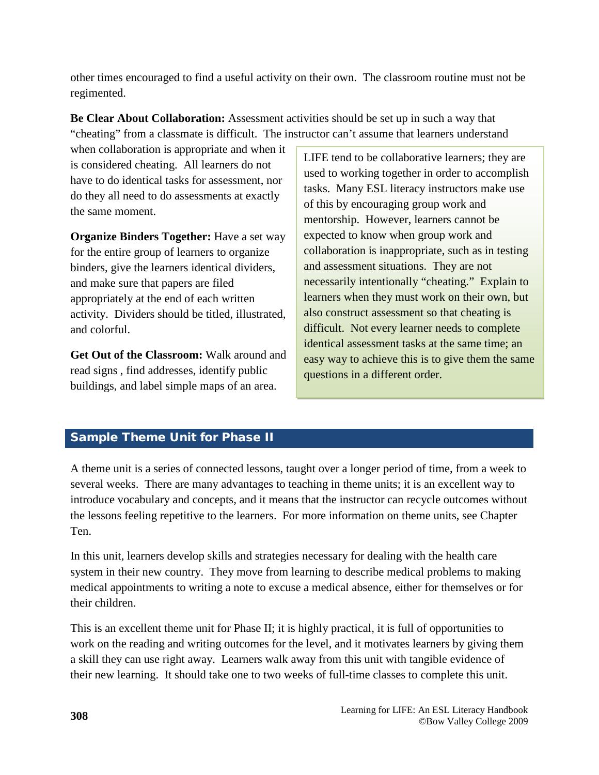<span id="page-19-0"></span>other times encouraged to find a useful activity on their own. The classroom routine must not be regimented.

**Be Clear About Collaboration:** Assessment activities should be set up in such a way that "cheating" from a classmate is difficult. The instructor can't assume that learners understand

when collaboration is appropriate and when it is considered cheating. All learners do not have to do identical tasks for assessment, nor do they all need to do assessments at exactly the same moment.

**Organize Binders Together:** Have a set way for the entire group of learners to organize binders, give the learners identical dividers, and make sure that papers are filed appropriately at the end of each written activity. Dividers should be titled, illustrated, and colorful.

**Get Out of the Classroom:** Walk around and read signs , find addresses, identify public buildings, and label simple maps of an area.

LIFE tend to be collaborative learners; they are used to working together in order to accomplish tasks. Many ESL literacy instructors make use of this by encouraging group work and mentorship. However, learners cannot be expected to know when group work and collaboration is inappropriate, such as in testing and assessment situations. They are not necessarily intentionally "cheating." Explain to learners when they must work on their own, but also construct assessment so that cheating is difficult. Not every learner needs to complete identical assessment tasks at the same time; an easy way to achieve this is to give them the same questions in a different order.

# Sample Theme Unit for Phase II

A theme unit is a series of connected lessons, taught over a longer period of time, from a week to several weeks. There are many advantages to teaching in theme units; it is an excellent way to introduce vocabulary and concepts, and it means that the instructor can recycle outcomes without the lessons feeling repetitive to the learners. For more information on theme units, see Chapter Ten.

In this unit, learners develop skills and strategies necessary for dealing with the health care system in their new country. They move from learning to describe medical problems to making medical appointments to writing a note to excuse a medical absence, either for themselves or for their children.

This is an excellent theme unit for Phase II; it is highly practical, it is full of opportunities to work on the reading and writing outcomes for the level, and it motivates learners by giving them a skill they can use right away. Learners walk away from this unit with tangible evidence of their new learning. It should take one to two weeks of full-time classes to complete this unit.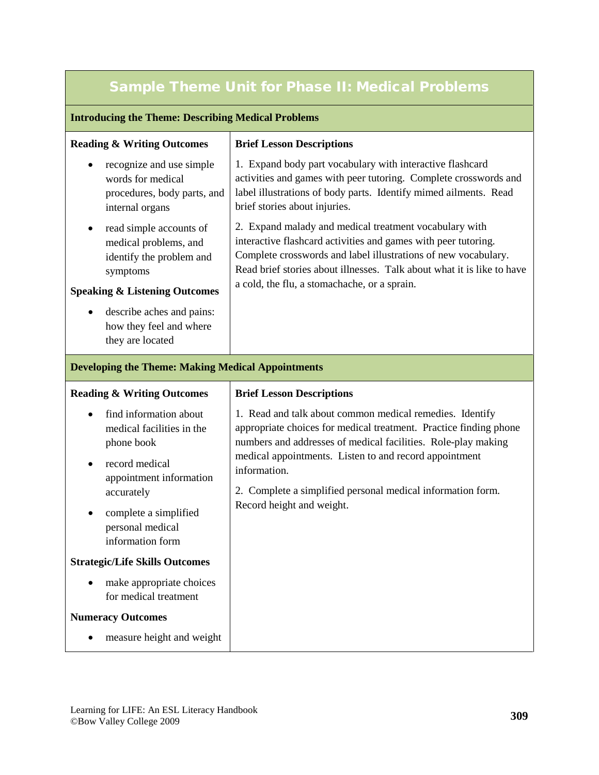# Sample Theme Unit for Phase II: Medical Problems

#### **Introducing the Theme: Describing Medical Problems**

| <b>Reading &amp; Writing Outcomes</b>                                                                                                | <b>Brief Lesson Descriptions</b>                                                                                                                                                                                                                                                                                     |  |
|--------------------------------------------------------------------------------------------------------------------------------------|----------------------------------------------------------------------------------------------------------------------------------------------------------------------------------------------------------------------------------------------------------------------------------------------------------------------|--|
| recognize and use simple<br>words for medical<br>procedures, body parts, and<br>internal organs                                      | 1. Expand body part vocabulary with interactive flashcard<br>activities and games with peer tutoring. Complete crosswords and<br>label illustrations of body parts. Identify mimed ailments. Read<br>brief stories about injuries.                                                                                   |  |
| read simple accounts of<br>medical problems, and<br>identify the problem and<br>symptoms<br><b>Speaking &amp; Listening Outcomes</b> | 2. Expand malady and medical treatment vocabulary with<br>interactive flashcard activities and games with peer tutoring.<br>Complete crosswords and label illustrations of new vocabulary.<br>Read brief stories about illnesses. Talk about what it is like to have<br>a cold, the flu, a stomachache, or a sprain. |  |
| describe aches and pains:<br>$\bullet$<br>how they feel and where<br>they are located                                                |                                                                                                                                                                                                                                                                                                                      |  |
| <b>Developing the Theme: Making Medical Appointments</b>                                                                             |                                                                                                                                                                                                                                                                                                                      |  |
| <b>Reading &amp; Writing Outcomes</b>                                                                                                | <b>Brief Lesson Descriptions</b>                                                                                                                                                                                                                                                                                     |  |

information.

Record height and weight.

1. Read and talk about common medical remedies. Identify appropriate choices for medical treatment. Practice finding phone numbers and addresses of medical facilities. Role-play making

medical appointments. Listen to and record appointment

2. Complete a simplified personal medical information form.

- find information about medical facilities in the phone book
- record medical appointment information accurately
- complete a simplified personal medical information form

#### **Strategic/Life Skills Outcomes**

• make appropriate choices for medical treatment

## **Numeracy Outcomes**

• measure height and weight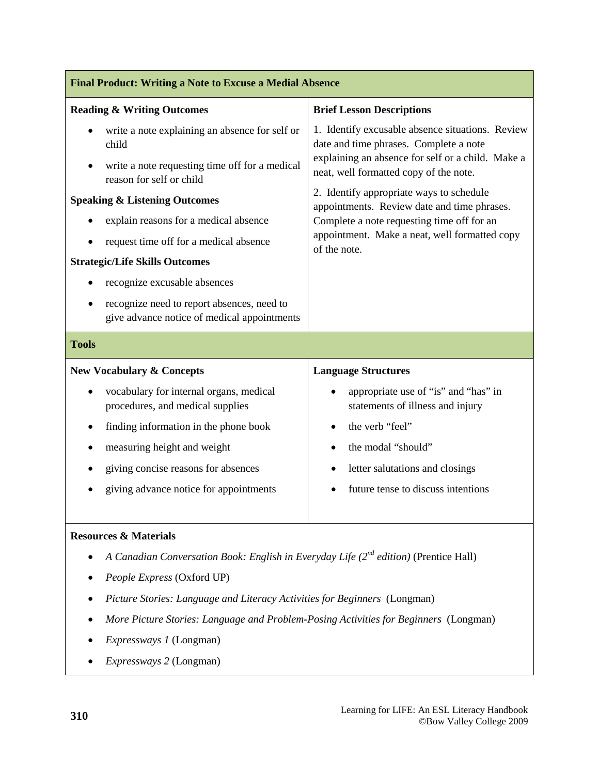| <b>Final Product: Writing a Note to Excuse a Medial Absence</b>                                                                                                                   |                                                                                                                                                                                                                                                                                                                                                                                                     |  |  |
|-----------------------------------------------------------------------------------------------------------------------------------------------------------------------------------|-----------------------------------------------------------------------------------------------------------------------------------------------------------------------------------------------------------------------------------------------------------------------------------------------------------------------------------------------------------------------------------------------------|--|--|
| <b>Reading &amp; Writing Outcomes</b>                                                                                                                                             | <b>Brief Lesson Descriptions</b>                                                                                                                                                                                                                                                                                                                                                                    |  |  |
| write a note explaining an absence for self or<br>child<br>write a note requesting time off for a medical<br>reason for self or child<br><b>Speaking &amp; Listening Outcomes</b> | 1. Identify excusable absence situations. Review<br>date and time phrases. Complete a note<br>explaining an absence for self or a child. Make a<br>neat, well formatted copy of the note.<br>2. Identify appropriate ways to schedule<br>appointments. Review date and time phrases.<br>Complete a note requesting time off for an<br>appointment. Make a neat, well formatted copy<br>of the note. |  |  |
| explain reasons for a medical absence<br>request time off for a medical absence                                                                                                   |                                                                                                                                                                                                                                                                                                                                                                                                     |  |  |
| <b>Strategic/Life Skills Outcomes</b><br>recognize excusable absences                                                                                                             |                                                                                                                                                                                                                                                                                                                                                                                                     |  |  |
| recognize need to report absences, need to<br>give advance notice of medical appointments                                                                                         |                                                                                                                                                                                                                                                                                                                                                                                                     |  |  |
| <b>Tools</b>                                                                                                                                                                      |                                                                                                                                                                                                                                                                                                                                                                                                     |  |  |
| <b>New Vocabulary &amp; Concepts</b>                                                                                                                                              | <b>Language Structures</b>                                                                                                                                                                                                                                                                                                                                                                          |  |  |
| vocabulary for internal organs, medical<br>procedures, and medical supplies                                                                                                       | appropriate use of "is" and "has" in<br>statements of illness and injury                                                                                                                                                                                                                                                                                                                            |  |  |
| finding information in the phone book                                                                                                                                             | the verb "feel"                                                                                                                                                                                                                                                                                                                                                                                     |  |  |
| measuring height and weight<br>٠                                                                                                                                                  | the modal "should"                                                                                                                                                                                                                                                                                                                                                                                  |  |  |
| giving concise reasons for absences                                                                                                                                               | letter salutations and closings<br>$\bullet$                                                                                                                                                                                                                                                                                                                                                        |  |  |
| giving advance notice for appointments                                                                                                                                            | future tense to discuss intentions                                                                                                                                                                                                                                                                                                                                                                  |  |  |
| <b>Resources &amp; Materials</b>                                                                                                                                                  |                                                                                                                                                                                                                                                                                                                                                                                                     |  |  |
| A Canadian Conversation Book: English in Everyday Life $(2^{nd}$ edition) (Prentice Hall)                                                                                         |                                                                                                                                                                                                                                                                                                                                                                                                     |  |  |
| People Express (Oxford UP)                                                                                                                                                        |                                                                                                                                                                                                                                                                                                                                                                                                     |  |  |
| Picture Stories: Language and Literacy Activities for Beginners (Longman)                                                                                                         |                                                                                                                                                                                                                                                                                                                                                                                                     |  |  |
| More Picture Stories: Language and Problem-Posing Activities for Beginners (Longman)                                                                                              |                                                                                                                                                                                                                                                                                                                                                                                                     |  |  |

- *Expressways 1* (Longman)
- *Expressways 2* (Longman)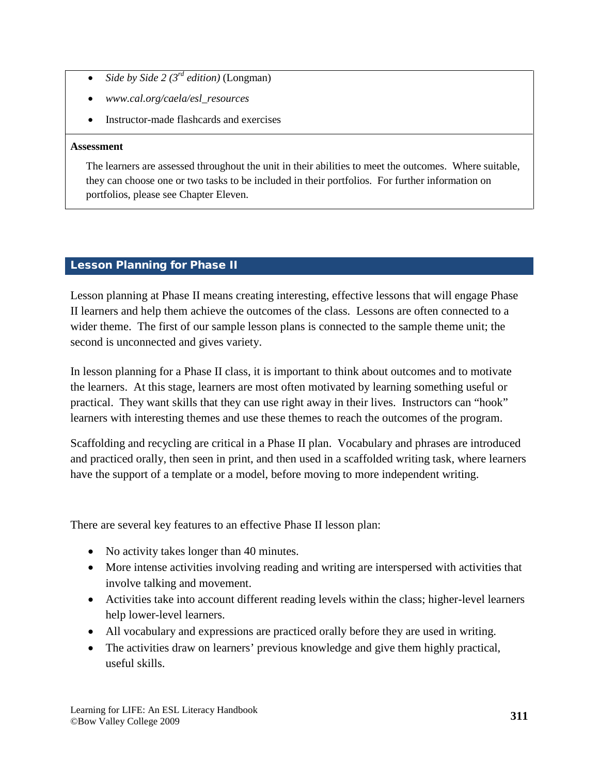- <span id="page-22-0"></span>• *Side by Side 2 (3rd edition)* (Longman)
- *www.cal.org/caela/esl\_resources*
- Instructor-made flashcards and exercises

#### **Assessment**

The learners are assessed throughout the unit in their abilities to meet the outcomes. Where suitable, they can choose one or two tasks to be included in their portfolios. For further information on portfolios, please see Chapter Eleven.

# Lesson Planning for Phase II

Lesson planning at Phase II means creating interesting, effective lessons that will engage Phase II learners and help them achieve the outcomes of the class. Lessons are often connected to a wider theme. The first of our sample lesson plans is connected to the sample theme unit; the second is unconnected and gives variety.

In lesson planning for a Phase II class, it is important to think about outcomes and to motivate the learners. At this stage, learners are most often motivated by learning something useful or practical. They want skills that they can use right away in their lives. Instructors can "hook" learners with interesting themes and use these themes to reach the outcomes of the program.

Scaffolding and recycling are critical in a Phase II plan. Vocabulary and phrases are introduced and practiced orally, then seen in print, and then used in a scaffolded writing task, where learners have the support of a template or a model, before moving to more independent writing.

There are several key features to an effective Phase II lesson plan:

- No activity takes longer than 40 minutes.
- More intense activities involving reading and writing are interspersed with activities that involve talking and movement.
- Activities take into account different reading levels within the class; higher-level learners help lower-level learners.
- All vocabulary and expressions are practiced orally before they are used in writing.
- The activities draw on learners' previous knowledge and give them highly practical, useful skills.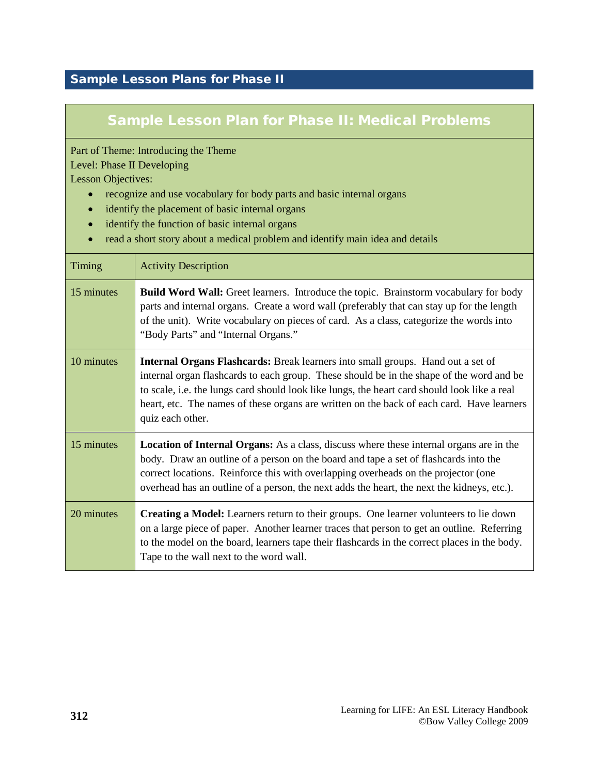# <span id="page-23-0"></span>Sample Lesson Plans for Phase II

# Sample Lesson Plan for Phase II: Medical Problems

Part of Theme: Introducing the Theme

Level: Phase II Developing

Lesson Objectives:

- recognize and use vocabulary for body parts and basic internal organs
- identify the placement of basic internal organs
- identify the function of basic internal organs
- read a short story about a medical problem and identify main idea and details

| Timing     | <b>Activity Description</b>                                                                                                                                                                                                                                                                                                                                                                         |
|------------|-----------------------------------------------------------------------------------------------------------------------------------------------------------------------------------------------------------------------------------------------------------------------------------------------------------------------------------------------------------------------------------------------------|
| 15 minutes | <b>Build Word Wall:</b> Greet learners. Introduce the topic. Brainstorm vocabulary for body<br>parts and internal organs. Create a word wall (preferably that can stay up for the length<br>of the unit). Write vocabulary on pieces of card. As a class, categorize the words into<br>"Body Parts" and "Internal Organs."                                                                          |
| 10 minutes | <b>Internal Organs Flashcards:</b> Break learners into small groups. Hand out a set of<br>internal organ flashcards to each group. These should be in the shape of the word and be<br>to scale, i.e. the lungs card should look like lungs, the heart card should look like a real<br>heart, etc. The names of these organs are written on the back of each card. Have learners<br>quiz each other. |
| 15 minutes | <b>Location of Internal Organs:</b> As a class, discuss where these internal organs are in the<br>body. Draw an outline of a person on the board and tape a set of flashcards into the<br>correct locations. Reinforce this with overlapping overheads on the projector (one<br>overhead has an outline of a person, the next adds the heart, the next the kidneys, etc.).                          |
| 20 minutes | <b>Creating a Model:</b> Learners return to their groups. One learner volunteers to lie down<br>on a large piece of paper. Another learner traces that person to get an outline. Referring<br>to the model on the board, learners tape their flashcards in the correct places in the body.<br>Tape to the wall next to the word wall.                                                               |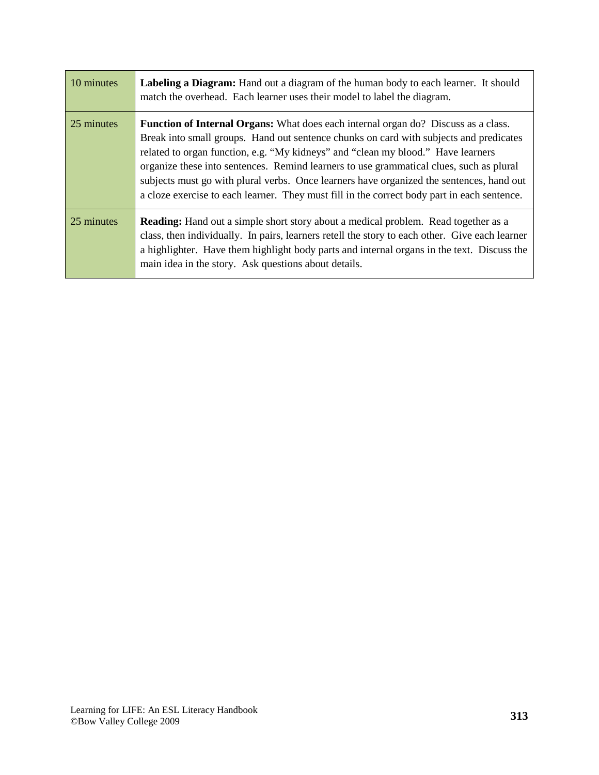| 10 minutes | Labeling a Diagram: Hand out a diagram of the human body to each learner. It should<br>match the overhead. Each learner uses their model to label the diagram.                                                                                                                                                                                                                                                                                                                                                                                                |
|------------|---------------------------------------------------------------------------------------------------------------------------------------------------------------------------------------------------------------------------------------------------------------------------------------------------------------------------------------------------------------------------------------------------------------------------------------------------------------------------------------------------------------------------------------------------------------|
| 25 minutes | <b>Function of Internal Organs:</b> What does each internal organ do? Discuss as a class.<br>Break into small groups. Hand out sentence chunks on card with subjects and predicates<br>related to organ function, e.g. "My kidneys" and "clean my blood." Have learners<br>organize these into sentences. Remind learners to use grammatical clues, such as plural<br>subjects must go with plural verbs. Once learners have organized the sentences, hand out<br>a cloze exercise to each learner. They must fill in the correct body part in each sentence. |
| 25 minutes | <b>Reading:</b> Hand out a simple short story about a medical problem. Read together as a<br>class, then individually. In pairs, learners retell the story to each other. Give each learner<br>a highlighter. Have them highlight body parts and internal organs in the text. Discuss the<br>main idea in the story. Ask questions about details.                                                                                                                                                                                                             |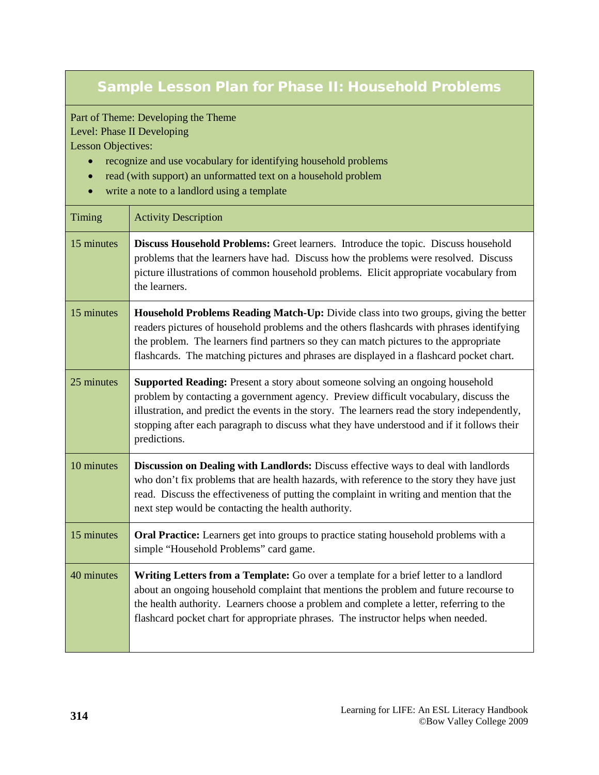# Sample Lesson Plan for Phase II: Household Problems

Part of Theme: Developing the Theme

Level: Phase II Developing Lesson Objectives:

- recognize and use vocabulary for identifying household problems
- read (with support) an unformatted text on a household problem
- write a note to a landlord using a template

| Timing     | <b>Activity Description</b>                                                                                                                                                                                                                                                                                                                                                                 |
|------------|---------------------------------------------------------------------------------------------------------------------------------------------------------------------------------------------------------------------------------------------------------------------------------------------------------------------------------------------------------------------------------------------|
| 15 minutes | Discuss Household Problems: Greet learners. Introduce the topic. Discuss household<br>problems that the learners have had. Discuss how the problems were resolved. Discuss<br>picture illustrations of common household problems. Elicit appropriate vocabulary from<br>the learners.                                                                                                       |
| 15 minutes | Household Problems Reading Match-Up: Divide class into two groups, giving the better<br>readers pictures of household problems and the others flashcards with phrases identifying<br>the problem. The learners find partners so they can match pictures to the appropriate<br>flashcards. The matching pictures and phrases are displayed in a flashcard pocket chart.                      |
| 25 minutes | <b>Supported Reading:</b> Present a story about someone solving an ongoing household<br>problem by contacting a government agency. Preview difficult vocabulary, discuss the<br>illustration, and predict the events in the story. The learners read the story independently,<br>stopping after each paragraph to discuss what they have understood and if it follows their<br>predictions. |
| 10 minutes | Discussion on Dealing with Landlords: Discuss effective ways to deal with landlords<br>who don't fix problems that are health hazards, with reference to the story they have just<br>read. Discuss the effectiveness of putting the complaint in writing and mention that the<br>next step would be contacting the health authority.                                                        |
| 15 minutes | <b>Oral Practice:</b> Learners get into groups to practice stating household problems with a<br>simple "Household Problems" card game.                                                                                                                                                                                                                                                      |
| 40 minutes | Writing Letters from a Template: Go over a template for a brief letter to a landlord<br>about an ongoing household complaint that mentions the problem and future recourse to<br>the health authority. Learners choose a problem and complete a letter, referring to the<br>flashcard pocket chart for appropriate phrases. The instructor helps when needed.                               |